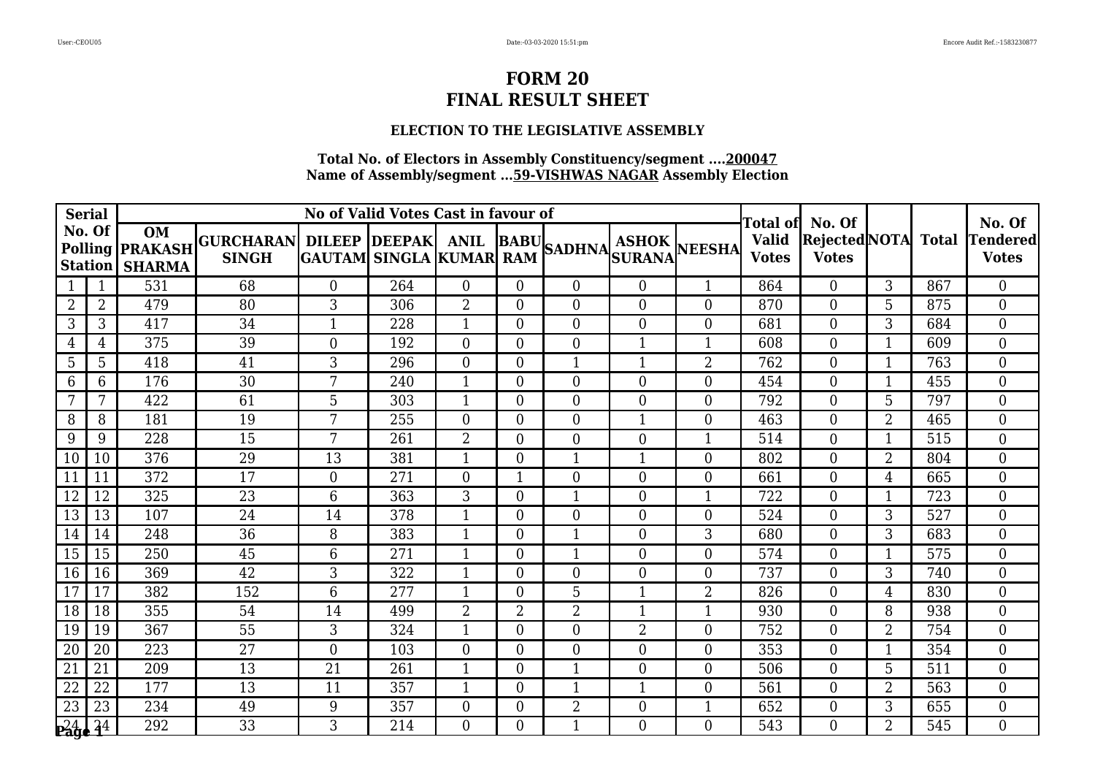#### **ELECTION TO THE LEGISLATIVE ASSEMBLY**

| <b>Serial</b>   |                |                                                                |                                                |          | No of Valid Votes Cast in favour of |                | Гоtal ofl        | No. Of           |                  |                  | No. Of                       |                                            |                |     |                          |
|-----------------|----------------|----------------------------------------------------------------|------------------------------------------------|----------|-------------------------------------|----------------|------------------|------------------|------------------|------------------|------------------------------|--------------------------------------------|----------------|-----|--------------------------|
| No. Of          |                | <b>OM</b><br><b>Polling PRAKASH</b><br><b>Station   SHARMA</b> | GURCHARAN DILEEP DEEPAK ANIL BABU SADHNA ASHOK |          |                                     |                |                  |                  |                  | NEESHA           | <b>Valid</b><br><b>Votes</b> | <b>Rejected</b> NOTA Total<br><b>Votes</b> |                |     | Tendered<br><b>Votes</b> |
|                 |                | 531                                                            | 68                                             | $\Omega$ | 264                                 | 0              | $\Omega$         | $\Omega$         | $\theta$         | $\mathbf{1}$     | 864                          | $\Omega$                                   | 3              | 867 | $\overline{0}$           |
| 2               | 2              | 479                                                            | 80                                             | 3        | 306                                 | $\overline{2}$ | $\overline{0}$   | $\theta$         | $\boldsymbol{0}$ | $\overline{0}$   | 870                          | $\theta$                                   | 5              | 875 | $\Omega$                 |
| 3               | 3              | 417                                                            | 34                                             |          | 228                                 | $\mathbf{1}$   | $\overline{0}$   | $\boldsymbol{0}$ | $\boldsymbol{0}$ | $\boldsymbol{0}$ | 681                          | $\overline{0}$                             | 3              | 684 | $\overline{0}$           |
| $\overline{4}$  | $\overline{4}$ | 375                                                            | 39                                             | $\Omega$ | 192                                 | $\overline{0}$ | $\overline{0}$   | $\overline{0}$   | $\mathbf{1}$     | $\mathbf{1}$     | 608                          | $\Omega$                                   | $\mathbf{1}$   | 609 | $\overline{0}$           |
| 5               | 5              | 418                                                            | 41                                             | 3        | 296                                 | $\overline{0}$ | $\overline{0}$   | $\mathbf 1$      | $\mathbf{1}$     | $\overline{2}$   | 762                          | $\overline{0}$                             | 1              | 763 | $\overline{0}$           |
| 6               | 6              | 176                                                            | 30                                             | 7        | 240                                 | 1              | $\overline{0}$   | $\overline{0}$   | $\boldsymbol{0}$ | $\boldsymbol{0}$ | 454                          | $\overline{0}$                             | 1              | 455 | $\overline{0}$           |
| 7               | 7              | 422                                                            | 61                                             | 5        | 303                                 | $\mathbf{1}$   | $\overline{0}$   | $\theta$         | $\overline{0}$   | $\theta$         | 792                          | $\Omega$                                   | 5              | 797 | $\Omega$                 |
| 8               | 8              | 181                                                            | 19                                             | 7        | 255                                 | $\overline{0}$ | 0                | $\overline{0}$   | $\mathbf{1}$     | $\overline{0}$   | 463                          | $\theta$                                   | 2              | 465 | $\overline{0}$           |
| 9               | 9              | 228                                                            | 15                                             | 7        | 261                                 | $\overline{2}$ | $\overline{0}$   | $\boldsymbol{0}$ | $\boldsymbol{0}$ | $\mathbf{1}$     | 514                          | $\overline{0}$                             | $\mathbf{1}$   | 515 | $\overline{0}$           |
| 10              | 10             | 376                                                            | 29                                             | 13       | 381                                 | $\mathbf{1}$   | $\overline{0}$   | $\mathbf 1$      | $\mathbf{1}$     | $\theta$         | 802                          | $\Omega$                                   | $\overline{2}$ | 804 | $\overline{0}$           |
| 11              | 11             | 372                                                            | 17                                             | $\Omega$ | 271                                 | $\overline{0}$ | $\mathbf 1$      | $\overline{0}$   | $\overline{0}$   | $\overline{0}$   | 661                          | $\Omega$                                   | 4              | 665 | $\Omega$                 |
| 12              | 12             | 325                                                            | 23                                             | 6        | 363                                 | 3              | $\overline{0}$   | $\mathbf{1}$     | $\boldsymbol{0}$ | $\mathbf{1}$     | 722                          | $\overline{0}$                             | 1              | 723 | $\overline{0}$           |
| 13              | 13             | 107                                                            | 24                                             | 14       | 378                                 | $\mathbf{1}$   | $\overline{0}$   | $\overline{0}$   | $\boldsymbol{0}$ | $\overline{0}$   | 524                          | $\overline{0}$                             | 3              | 527 | $\overline{0}$           |
| 14              | 14             | 248                                                            | 36                                             | 8        | 383                                 | $\mathbf{1}$   | $\overline{0}$   | $\mathbf{1}$     | $\overline{0}$   | 3                | 680                          | $\Omega$                                   | 3              | 683 | $\overline{0}$           |
| 15              | 15             | 250                                                            | 45                                             | 6        | 271                                 | $\mathbf{1}$   | $\overline{0}$   | $\mathbf{1}$     | $\overline{0}$   | $\overline{0}$   | 574                          | $\Omega$                                   | $\mathbf 1$    | 575 | $\overline{0}$           |
| 16              | 16             | 369                                                            | 42                                             | 3        | 322                                 | 1              | 0                | $\overline{0}$   | $\boldsymbol{0}$ | $\overline{0}$   | 737                          | $\overline{0}$                             | 3              | 740 | $\overline{0}$           |
| 17              | 17             | 382                                                            | 152                                            | 6        | 277                                 | 1              | $\Omega$         | 5                | $\mathbf{1}$     | $\overline{2}$   | 826                          | $\Omega$                                   | 4              | 830 | $\overline{0}$           |
| 18              | 18             | 355                                                            | 54                                             | 14       | 499                                 | $\overline{2}$ | 2                | $\overline{2}$   | $\mathbf{1}$     | $\mathbf{1}$     | 930                          | $\Omega$                                   | 8              | 938 | $\overline{0}$           |
| 19              | 19             | 367                                                            | 55                                             | 3        | 324                                 | $\mathbf{1}$   | $\overline{0}$   | $\overline{0}$   | $\overline{2}$   | $\overline{0}$   | 752                          | $\Omega$                                   | $\overline{2}$ | 754 | $\overline{0}$           |
| 20              | 20             | 223                                                            | 27                                             | $\theta$ | 103                                 | $\overline{0}$ | $\overline{0}$   | $\overline{0}$   | $\boldsymbol{0}$ | $\overline{0}$   | 353                          | $\Omega$                                   | 1              | 354 | $\overline{0}$           |
| $\overline{21}$ | 21             | 209                                                            | 13                                             | 21       | 261                                 | $\mathbf{1}$   | $\overline{0}$   | $\mathbf{1}$     | $\overline{0}$   | $\overline{0}$   | 506                          | $\Omega$                                   | 5              | 511 | $\overline{0}$           |
| 22              | 22             | 177                                                            | 13                                             | 11       | 357                                 | 1              | 0                | $\mathbf 1$      | $\mathbf 1$      | $\overline{0}$   | 561                          | $\Omega$                                   | 2              | 563 | $\overline{0}$           |
| 23              | 23             | 234                                                            | 49                                             | 9        | 357                                 | $\overline{0}$ | $\boldsymbol{0}$ | $\overline{2}$   | $\boldsymbol{0}$ | $\mathbf{1}$     | 652                          | $\boldsymbol{0}$                           | 3              | 655 | $\overline{0}$           |
| $\sqrt{24.44}$  |                | 292                                                            | 33                                             | 3        | 214                                 | $\Omega$       | $\Omega$         | 1                | $\theta$         | $\theta$         | 543                          | $\Omega$                                   | $\overline{2}$ | 545 | $\Omega$                 |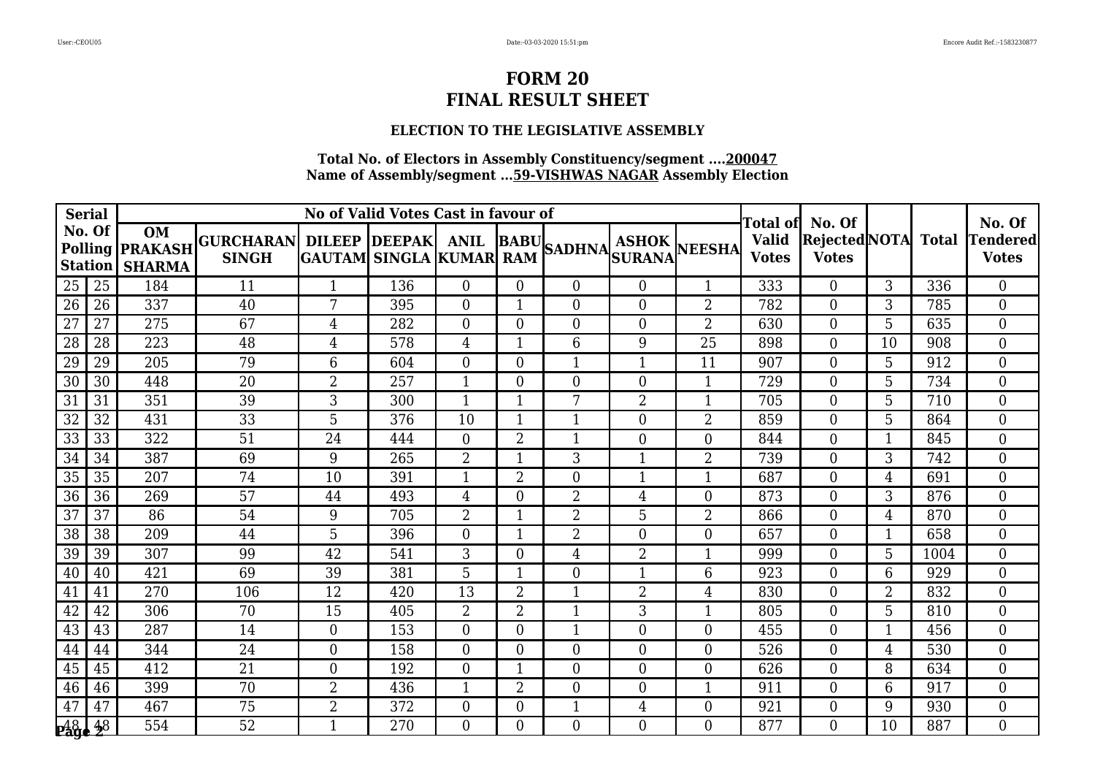### **ELECTION TO THE LEGISLATIVE ASSEMBLY**

| <b>Serial</b>   |                          |                                                      |                                                       |                | No of Valid Votes Cast in favour of |                |                |                  |                  |                  | No. Of                                   |                                                      |                |      |                          |
|-----------------|--------------------------|------------------------------------------------------|-------------------------------------------------------|----------------|-------------------------------------|----------------|----------------|------------------|------------------|------------------|------------------------------------------|------------------------------------------------------|----------------|------|--------------------------|
|                 | No. Of<br><b>Station</b> | <b>OM</b><br>Polling <b>PRAKASH</b><br><b>SHARMA</b> | GURCHARAN DILEEP DEEPAK ANIL BABU SADHNA ASHOK NEESHA |                |                                     |                |                |                  |                  |                  | Total of<br><b>Valid</b><br><b>Votes</b> | No. Of<br><b>Rejected</b> NOTA Total<br><b>Votes</b> |                |      | Tendered<br><b>Votes</b> |
| 25              | 25                       | 184                                                  | 11                                                    | $\mathbf{1}$   | 136                                 | $\overline{0}$ | $\Omega$       | $\Omega$         | $\boldsymbol{0}$ | $\mathbf{1}$     | 333                                      | $\Omega$                                             | 3              | 336  | $\overline{0}$           |
| 26              | 26                       | 337                                                  | 40                                                    | $\overline{7}$ | 395                                 | $\overline{0}$ |                | $\overline{0}$   | $\boldsymbol{0}$ | $\overline{2}$   | 782                                      | $\overline{0}$                                       | 3              | 785  | $\overline{0}$           |
| 27              | 27                       | 275                                                  | 67                                                    | 4              | 282                                 | $\overline{0}$ | $\Omega$       | $\overline{0}$   | $\boldsymbol{0}$ | $\overline{2}$   | 630                                      | $\overline{0}$                                       | 5              | 635  | $\Omega$                 |
| $\overline{28}$ | 28                       | 223                                                  | 48                                                    | $\overline{4}$ | 578                                 | 4              | 1              | 6                | $9\,$            | $\overline{25}$  | 898                                      | $\Omega$                                             | 10             | 908  | $\overline{0}$           |
| 29              | 29                       | 205                                                  | 79                                                    | 6              | 604                                 | 0              | $\overline{0}$ | 1                | $\mathbf{1}$     | 11               | 907                                      | $\overline{0}$                                       | 5              | 912  | $\overline{0}$           |
| 30              | 30                       | 448                                                  | 20                                                    | $\overline{2}$ | 257                                 | 1              | $\Omega$       | $\overline{0}$   | $\boldsymbol{0}$ | $\mathbf{1}$     | 729                                      | $\Omega$                                             | 5              | 734  | $\Omega$                 |
| $\overline{31}$ | 31                       | 351                                                  | 39                                                    | 3              | 300                                 | 1              | 1              | 7                | $\overline{2}$   | $\mathbf{1}$     | 705                                      | $\Omega$                                             | 5              | 710  | $\Omega$                 |
| 32              | 32                       | 431                                                  | 33                                                    | 5              | 376                                 | 10             |                | $\mathbf 1$      | $\boldsymbol{0}$ | $\overline{2}$   | 859                                      | $\overline{0}$                                       | 5              | 864  | $\overline{0}$           |
| 33              | 33                       | 322                                                  | 51                                                    | 24             | 444                                 | $\overline{0}$ | $\overline{2}$ | $\mathbf{1}$     | $\boldsymbol{0}$ | $\overline{0}$   | 844                                      | $\overline{0}$                                       | $\mathbf{1}$   | 845  | $\overline{0}$           |
| $\overline{34}$ | 34                       | 387                                                  | 69                                                    | 9              | 265                                 | $\overline{2}$ | 1              | 3                | $\mathbf{1}$     | $\overline{2}$   | 739                                      | $\Omega$                                             | 3              | 742  | $\overline{0}$           |
| 35              | 35                       | 207                                                  | 74                                                    | 10             | 391                                 |                | 2              | $\overline{0}$   | -1               | $\mathbf 1$      | 687                                      | $\Omega$                                             | 4              | 691  | $\overline{0}$           |
| 36              | 36                       | 269                                                  | 57                                                    | 44             | 493                                 | 4              | $\overline{0}$ | $\overline{2}$   | $\overline{4}$   | $\boldsymbol{0}$ | 873                                      | $\overline{0}$                                       | 3              | 876  | $\overline{0}$           |
| $\overline{37}$ | 37                       | 86                                                   | 54                                                    | 9              | 705                                 | $\overline{2}$ | 1              | $\overline{2}$   | 5                | $\overline{2}$   | 866                                      | $\overline{0}$                                       | $\overline{4}$ | 870  | $\overline{0}$           |
| $\overline{38}$ | 38                       | 209                                                  | 44                                                    | 5              | 396                                 | 0              |                | $\overline{2}$   | $\overline{0}$   | $\overline{0}$   | 657                                      | $\Omega$                                             | 1              | 658  | $\Omega$                 |
| 39              | 39                       | 307                                                  | 99                                                    | 42             | 541                                 | 3              | $\overline{0}$ | 4                | $\overline{2}$   | $\mathbf{1}$     | 999                                      | 0                                                    | 5              | 1004 | $\overline{0}$           |
| 40              | 40                       | 421                                                  | 69                                                    | 39             | 381                                 | 5              | $\mathbf{1}$   | $\overline{0}$   | $\mathbf{1}$     | 6                | 923                                      | $\overline{0}$                                       | 6              | 929  | $\overline{0}$           |
| 41              | 41                       | 270                                                  | 106                                                   | 12             | 420                                 | 13             | $\overline{2}$ | 1                | $\overline{2}$   | $\overline{4}$   | 830                                      | $\Omega$                                             | 2              | 832  | $\Omega$                 |
| 42              | 42                       | 306                                                  | 70                                                    | 15             | 405                                 | $\overline{2}$ | $\overline{2}$ | $\mathbf{1}$     | 3                | $\mathbf{1}$     | 805                                      | $\overline{0}$                                       | 5              | 810  | $\overline{0}$           |
| 43              | 43                       | 287                                                  | 14                                                    | $\overline{0}$ | 153                                 | $\overline{0}$ | $\overline{0}$ | $\mathbf{1}$     | $\boldsymbol{0}$ | $\overline{0}$   | 455                                      | $\Omega$                                             | $\mathbf{1}$   | 456  | $\overline{0}$           |
| 44              | 44                       | 344                                                  | 24                                                    | $\theta$       | 158                                 | $\overline{0}$ | $\overline{0}$ | $\overline{0}$   | $\boldsymbol{0}$ | $\overline{0}$   | 526                                      | $\Omega$                                             | 4              | 530  | $\Omega$                 |
| 45              | 45                       | 412                                                  | 21                                                    | $\overline{0}$ | 192                                 | $\overline{0}$ |                | $\boldsymbol{0}$ | $\boldsymbol{0}$ | $\mathbf{0}$     | 626                                      | $\overline{0}$                                       | 8              | 634  | $\overline{0}$           |
| 46              | 46                       | 399                                                  | 70                                                    | 2              | 436                                 | $\mathbf{1}$   | $\overline{2}$ | $\overline{0}$   | $\boldsymbol{0}$ | $\mathbf{1}$     | 911                                      | $\Omega$                                             | 6              | 917  | $\overline{0}$           |
| 47              | 47                       | 467                                                  | 75                                                    | $\overline{2}$ | 372                                 | 0              | $\theta$       |                  | $\overline{4}$   | $\overline{0}$   | 921                                      | $\Omega$                                             | 9              | 930  | $\Omega$                 |
| 48.48           |                          | 554                                                  | 52                                                    |                | 270                                 | $\overline{0}$ | $\overline{0}$ | $\overline{0}$   | $\boldsymbol{0}$ | $\overline{0}$   | 877                                      | 0                                                    | 10             | 887  | $\Omega$                 |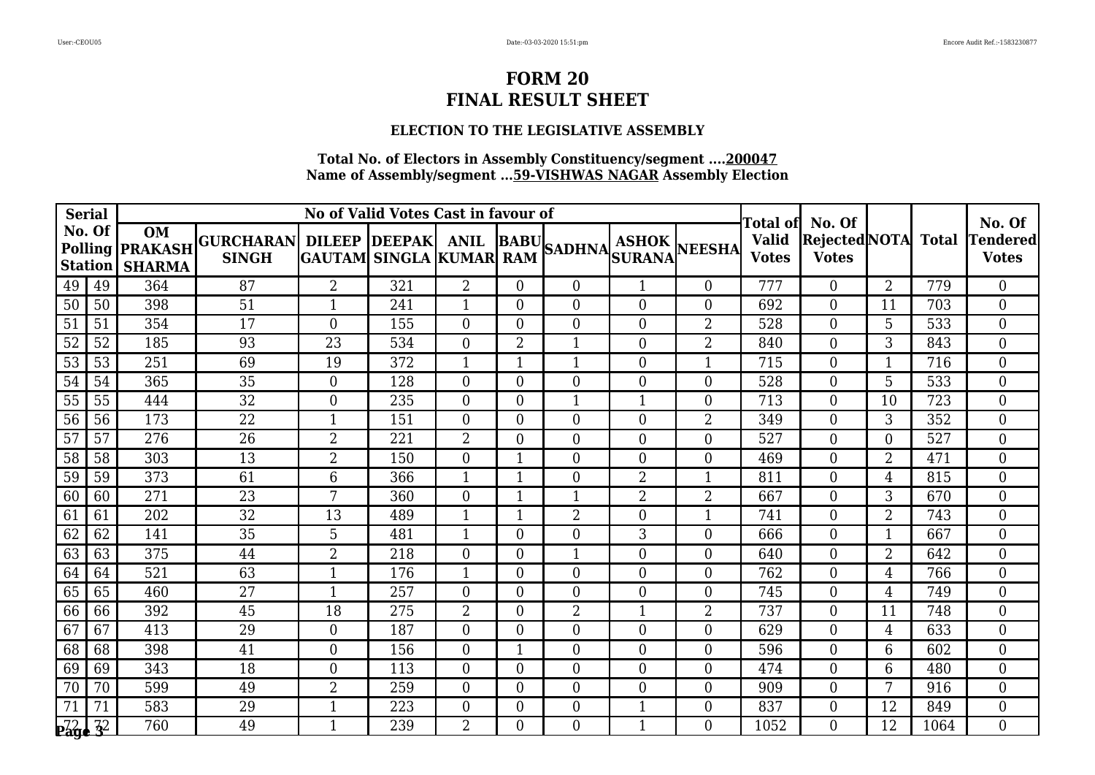#### **ELECTION TO THE LEGISLATIVE ASSEMBLY**

|                                                | <b>Serial</b>            |                                                      |                                                                                                   | No of Valid Votes Cast in favour of |     | Total ofl      | No. Of         |                  |                  | No. Of         |                              |                                            |                |      |                           |
|------------------------------------------------|--------------------------|------------------------------------------------------|---------------------------------------------------------------------------------------------------|-------------------------------------|-----|----------------|----------------|------------------|------------------|----------------|------------------------------|--------------------------------------------|----------------|------|---------------------------|
|                                                | No. Of<br><b>Station</b> | <b>OM</b><br>Polling <b>PRAKASH</b><br><b>SHARMA</b> | GURCHARAN  DILEEP  DEEPAK  ANIL  BABU <br>  SINGH  GAUTAM  SINGLA KUMAR RAM  SADHNA SURANA NEESHA |                                     |     |                |                |                  |                  |                | <b>Valid</b><br><b>Votes</b> | <b>Rejected</b> NOTA Total<br><b>Votes</b> |                |      | Tendered <br><b>Votes</b> |
| 49                                             | 49                       | 364                                                  | 87                                                                                                | $\overline{2}$                      | 321 | $\overline{2}$ | $\overline{0}$ | $\Omega$         | $\mathbf{1}$     | $\Omega$       | 777                          | $\theta$                                   | $\overline{2}$ | 779  | $\overline{0}$            |
| 50                                             | 50                       | 398                                                  | 51                                                                                                | 1                                   | 241 |                | $\Omega$       | $\overline{0}$   | $\overline{0}$   | $\overline{0}$ | 692                          | $\theta$                                   | 11             | 703  | $\overline{0}$            |
| 51                                             | 51                       | 354                                                  | 17                                                                                                | $\overline{0}$                      | 155 | $\Omega$       | $\Omega$       | $\overline{0}$   | $\overline{0}$   | $\overline{2}$ | 528                          | $\Omega$                                   | 5              | 533  | $\overline{0}$            |
| $\overline{52}$                                | 52                       | 185                                                  | 93                                                                                                | $\overline{23}$                     | 534 | $\overline{0}$ | $\overline{2}$ | $\mathbf{1}$     | $\boldsymbol{0}$ | $\overline{2}$ | 840                          | $\Omega$                                   | 3              | 843  | $\overline{0}$            |
| 53                                             | 53                       | 251                                                  | 69                                                                                                | 19                                  | 372 | $\mathbf{1}$   | 1              | 1                | $\boldsymbol{0}$ | 1              | 715                          | $\theta$                                   | $\mathbf{1}$   | 716  | $\overline{0}$            |
| 54                                             | 54                       | 365                                                  | 35                                                                                                | $\overline{0}$                      | 128 | $\overline{0}$ | $\Omega$       | $\boldsymbol{0}$ | $\boldsymbol{0}$ | $\overline{0}$ | 528                          | $\overline{0}$                             | 5              | 533  | $\overline{0}$            |
| 55                                             | 55                       | 444                                                  | 32                                                                                                | $\overline{0}$                      | 235 | $\overline{0}$ | $\overline{0}$ | $\mathbf{1}$     | $\mathbf{1}$     | $\overline{0}$ | 713                          | $\theta$                                   | 10             | 723  | $\overline{0}$            |
| 56                                             | 56                       | 173                                                  | $\overline{22}$                                                                                   |                                     | 151 | $\overline{0}$ | $\Omega$       | $\overline{0}$   | $\overline{0}$   | $\overline{2}$ | 349                          | $\Omega$                                   | 3              | 352  | $\overline{0}$            |
| $\overline{57}$                                | 57                       | 276                                                  | $\overline{26}$                                                                                   | $\overline{2}$                      | 221 | $\overline{2}$ | $\Omega$       | $\overline{0}$   | $\boldsymbol{0}$ | $\overline{0}$ | 527                          | $\theta$                                   | $\overline{0}$ | 527  | $\overline{0}$            |
| 58                                             | 58                       | 303                                                  | 13                                                                                                | $\overline{2}$                      | 150 | $\overline{0}$ | 1              | $\Omega$         | $\boldsymbol{0}$ | $\theta$       | 469                          | $\theta$                                   | $\overline{2}$ | 471  | $\overline{0}$            |
| 59                                             | 59                       | 373                                                  | 61                                                                                                | 6                                   | 366 |                |                | $\overline{0}$   | $\overline{2}$   | $\mathbf 1$    | 811                          | $\Omega$                                   | 4              | 815  | $\overline{0}$            |
| 60                                             | 60                       | 271                                                  | 23                                                                                                | 7                                   | 360 | $\overline{0}$ |                | 1                | $\overline{2}$   | $\overline{2}$ | 667                          | $\overline{0}$                             | 3              | 670  | $\overline{0}$            |
| 61                                             | 61                       | 202                                                  | 32                                                                                                | 13                                  | 489 | $\mathbf{1}$   | 1              | $\overline{2}$   | $\boldsymbol{0}$ | 1              | 741                          | $\Omega$                                   | $\overline{2}$ | 743  | $\overline{0}$            |
| 62                                             | 62                       | 141                                                  | 35                                                                                                | 5                                   | 481 | 1              | $\Omega$       | $\overline{0}$   | 3                | $\overline{0}$ | 666                          | $\theta$                                   | 1              | 667  | $\overline{0}$            |
| 63                                             | 63                       | 375                                                  | 44                                                                                                | $\overline{2}$                      | 218 | $\overline{0}$ | $\overline{0}$ | $\mathbf{1}$     | $\boldsymbol{0}$ | $\overline{0}$ | 640                          | $\overline{0}$                             | $\overline{2}$ | 642  | $\overline{0}$            |
| 64                                             | 64                       | 521                                                  | 63                                                                                                | $\mathbf{1}$                        | 176 | 1              | $\Omega$       | $\overline{0}$   | $\boldsymbol{0}$ | $\overline{0}$ | 762                          | $\Omega$                                   | 4              | 766  | $\overline{0}$            |
| 65                                             | 65                       | 460                                                  | 27                                                                                                | $\mathbf{1}$                        | 257 | $\Omega$       | $\Omega$       | $\overline{0}$   | $\boldsymbol{0}$ | $\overline{0}$ | 745                          | $\Omega$                                   | $\overline{4}$ | 749  | $\overline{0}$            |
| 66                                             | 66                       | 392                                                  | 45                                                                                                | 18                                  | 275 | $\overline{2}$ | $\Omega$       | $\overline{2}$   | $\mathbf{1}$     | $\overline{2}$ | 737                          | $\Omega$                                   | 11             | 748  | $\Omega$                  |
| 67                                             | 67                       | 413                                                  | 29                                                                                                | $\overline{0}$                      | 187 | $\overline{0}$ | $\Omega$       | $\overline{0}$   | $\boldsymbol{0}$ | $\overline{0}$ | 629                          | $\Omega$                                   | $\overline{4}$ | 633  | $\overline{0}$            |
| 68                                             | 68                       | 398                                                  | 41                                                                                                | $\overline{0}$                      | 156 | $\overline{0}$ |                | $\overline{0}$   | $\boldsymbol{0}$ | $\overline{0}$ | 596                          | $\Omega$                                   | 6              | 602  | $\overline{0}$            |
| 69                                             | 69                       | 343                                                  | 18                                                                                                | $\overline{0}$                      | 113 | $\overline{0}$ | $\overline{0}$ | $\overline{0}$   | $\overline{0}$   | $\theta$       | 474                          | $\theta$                                   | 6              | 480  | $\overline{0}$            |
| 70                                             | 70                       | 599                                                  | 49                                                                                                | $\overline{2}$                      | 259 | $\overline{0}$ | $\Omega$       | $\overline{0}$   | $\boldsymbol{0}$ | $\overline{0}$ | 909                          | $\Omega$                                   | 7              | 916  | $\overline{0}$            |
| 71                                             | 71                       | 583                                                  | 29                                                                                                | $\mathbf{1}$                        | 223 | $\overline{0}$ | $\Omega$       | $\boldsymbol{0}$ | $\mathbf{1}$     | $\overline{0}$ | 837                          | $\Omega$                                   | 12             | 849  | $\overline{0}$            |
| $_{\bf P\overline{2}\overline{3}\overline{4}}$ | $rac{72}{3}$             | 760                                                  | 49                                                                                                | $\mathbf{1}$                        | 239 | $\overline{2}$ | $\Omega$       | $\Omega$         | $\mathbf{1}$     | $\Omega$       | 1052                         | $\Omega$                                   | 12             | 1064 | $\Omega$                  |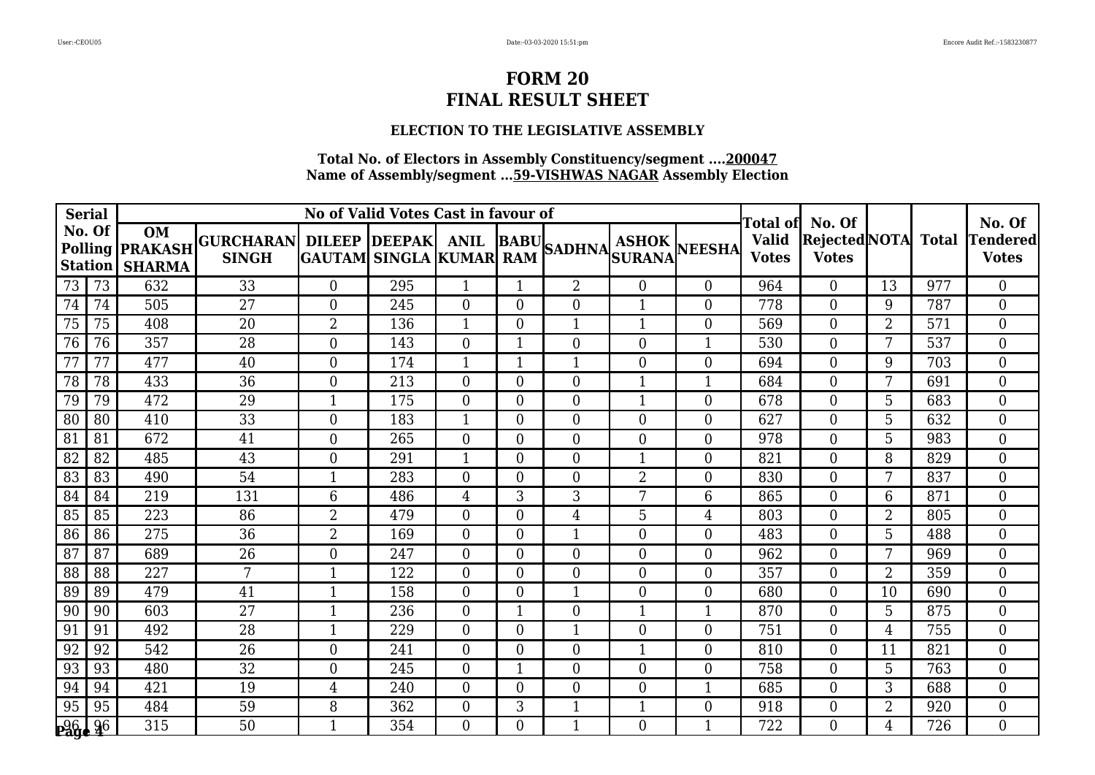### **ELECTION TO THE LEGISLATIVE ASSEMBLY**

| <b>Serial</b>             |                          |                                                      |                                                       |                | No of Valid Votes Cast in favour of |                  |                |                  |                  |                  | No. Of                                   |                                               |                |     |                                 |
|---------------------------|--------------------------|------------------------------------------------------|-------------------------------------------------------|----------------|-------------------------------------|------------------|----------------|------------------|------------------|------------------|------------------------------------------|-----------------------------------------------|----------------|-----|---------------------------------|
|                           | No. Of<br><b>Station</b> | <b>OM</b><br>Polling <b>PRAKASH</b><br><b>SHARMA</b> | GURCHARAN DILEEP DEEPAK ANIL BABU SADHNA ASHOK NEESHA |                |                                     |                  |                |                  |                  |                  | Total of<br><b>Valid</b><br><b>Votes</b> | No. Of<br>Rejected NOTA Total<br><b>Votes</b> |                |     | <b>Tendered</b><br><b>Votes</b> |
| 73                        | 73                       | 632                                                  | 33                                                    | $\overline{0}$ | 295                                 | 1                |                | $\overline{2}$   | $\boldsymbol{0}$ | $\theta$         | 964                                      | $\Omega$                                      | 13             | 977 | $\overline{0}$                  |
| 74                        | 74                       | 505                                                  | 27                                                    | $\overline{0}$ | 245                                 | $\overline{0}$   | $\overline{0}$ | $\boldsymbol{0}$ | $\mathbf{1}$     | $\boldsymbol{0}$ | 778                                      | $\overline{0}$                                | 9              | 787 | $\overline{0}$                  |
| 75                        | 75                       | 408                                                  | 20                                                    | $\overline{2}$ | 136                                 | 1                | $\Omega$       | $\mathbf{1}$     | $\mathbf{1}$     | $\overline{0}$   | 569                                      | $\Omega$                                      | $\overline{2}$ | 571 | $\Omega$                        |
| 76                        | 76                       | 357                                                  | $\overline{28}$                                       | $\overline{0}$ | 143                                 | $\overline{0}$   | 1              | $\overline{0}$   | $\boldsymbol{0}$ | $\mathbf{1}$     | 530                                      | $\Omega$                                      | 7              | 537 | $\overline{0}$                  |
| 77                        | 77                       | 477                                                  | 40                                                    | $\overline{0}$ | 174                                 | 1                |                | 1                | $\boldsymbol{0}$ | $\mathbf{0}$     | 694                                      | $\overline{0}$                                | 9              | 703 | $\overline{0}$                  |
| 78                        | 78                       | 433                                                  | 36                                                    | $\overline{0}$ | 213                                 | $\overline{0}$   | $\Omega$       | $\overline{0}$   | $\mathbf{1}$     | $\mathbf{1}$     | 684                                      | $\Omega$                                      | 7              | 691 | $\Omega$                        |
| 79                        | 79                       | 472                                                  | 29                                                    | $\mathbf{1}$   | 175                                 | $\overline{0}$   | $\overline{0}$ | $\overline{0}$   | $\mathbf{1}$     | $\overline{0}$   | 678                                      | $\Omega$                                      | 5              | 683 | $\Omega$                        |
| 80                        | 80                       | 410                                                  | 33                                                    | $\overline{0}$ | 183                                 | 1                | $\overline{0}$ | $\boldsymbol{0}$ | $\boldsymbol{0}$ | $\boldsymbol{0}$ | 627                                      | $\overline{0}$                                | 5              | 632 | $\overline{0}$                  |
| 81                        | 81                       | 672                                                  | 41                                                    | $\overline{0}$ | 265                                 | $\overline{0}$   | $\overline{0}$ | $\overline{0}$   | $\boldsymbol{0}$ | $\overline{0}$   | 978                                      | $\overline{0}$                                | 5              | 983 | $\overline{0}$                  |
| 82                        | 82                       | 485                                                  | $\overline{43}$                                       | $\Omega$       | 291                                 | $\mathbf{1}$     | $\Omega$       | $\overline{0}$   | $\mathbf{1}$     | $\theta$         | 821                                      | $\Omega$                                      | 8              | 829 | $\overline{0}$                  |
| 83                        | 83                       | 490                                                  | 54                                                    |                | 283                                 | 0                | $\theta$       | $\overline{0}$   | $\overline{2}$   | $\overline{0}$   | 830                                      | $\Omega$                                      | 7              | 837 | $\overline{0}$                  |
| 84                        | 84                       | 219                                                  | 131                                                   | 6              | 486                                 | 4                | 3              | 3                | $7\phantom{.}$   | 6                | 865                                      | 0                                             | 6              | 871 | $\overline{0}$                  |
| 85                        | 85                       | 223                                                  | 86                                                    | $\overline{2}$ | 479                                 | $\overline{0}$   | $\Omega$       | $\overline{4}$   | 5                | $\overline{4}$   | 803                                      | $\overline{0}$                                | $\overline{2}$ | 805 | $\overline{0}$                  |
| 86                        | 86                       | 275                                                  | $\overline{36}$                                       | $\overline{2}$ | 169                                 | 0                | $\Omega$       | 1                | $\overline{0}$   | $\overline{0}$   | 483                                      | $\Omega$                                      | 5              | 488 | $\overline{0}$                  |
| 87                        | 87                       | 689                                                  | 26                                                    | $\overline{0}$ | 247                                 | 0                | $\overline{0}$ | $\overline{0}$   | $\boldsymbol{0}$ | $\boldsymbol{0}$ | 962                                      | 0                                             | 7              | 969 | $\overline{0}$                  |
| 88                        | 88                       | 227                                                  | 7                                                     | $\mathbf{1}$   | 122                                 | $\overline{0}$   | $\overline{0}$ | $\overline{0}$   | $\boldsymbol{0}$ | $\theta$         | 357                                      | $\overline{0}$                                | $\overline{2}$ | 359 | $\overline{0}$                  |
| 89                        | 89                       | 479                                                  | 41                                                    |                | 158                                 | $\overline{0}$   | $\Omega$       | $\mathbf{1}$     | $\boldsymbol{0}$ | $\overline{0}$   | 680                                      | $\Omega$                                      | 10             | 690 | $\overline{0}$                  |
| 90                        | 90                       | 603                                                  | $\overline{27}$                                       |                | 236                                 | $\boldsymbol{0}$ |                | $\overline{0}$   | $\mathbf{1}$     | $\mathbf{1}$     | 870                                      | $\overline{0}$                                | 5              | 875 | $\overline{0}$                  |
| 91                        | 91                       | 492                                                  | 28                                                    | $\mathbf{1}$   | 229                                 | $\overline{0}$   | $\Omega$       | $\mathbf{1}$     | $\boldsymbol{0}$ | $\overline{0}$   | 751                                      | $\Omega$                                      | $\overline{4}$ | 755 | $\overline{0}$                  |
| 92                        | 92                       | 542                                                  | 26                                                    | $\theta$       | 241                                 | $\overline{0}$   | $\theta$       | $\overline{0}$   | $\mathbf{1}$     | $\overline{0}$   | 810                                      | $\Omega$                                      | 11             | 821 | $\Omega$                        |
| 93                        | 93                       | 480                                                  | 32                                                    | $\overline{0}$ | 245                                 | $\overline{0}$   |                | $\boldsymbol{0}$ | $\boldsymbol{0}$ | $\mathbf{0}$     | 758                                      | $\overline{0}$                                | 5              | 763 | $\overline{0}$                  |
| 94                        | 94                       | 421                                                  | 19                                                    | $\overline{4}$ | 240                                 | $\overline{0}$   | $\Omega$       | $\overline{0}$   | $\boldsymbol{0}$ | $\mathbf{1}$     | 685                                      | $\Omega$                                      | 3              | 688 | $\overline{0}$                  |
| 95                        | 95                       | 484                                                  | 59                                                    | 8              | 362                                 | 0                | 3              |                  | $\mathbf{1}$     | $\overline{0}$   | 918                                      | $\Omega$                                      | $\overline{2}$ | 920 | $\overline{0}$                  |
| <b>p<sub>26</sub> 2</b> 6 |                          | 315                                                  | 50                                                    |                | 354                                 | $\overline{0}$   | $\overline{0}$ | 1                | $\boldsymbol{0}$ | $\mathbf{1}$     | 722                                      | 0                                             | 4              | 726 | $\overline{0}$                  |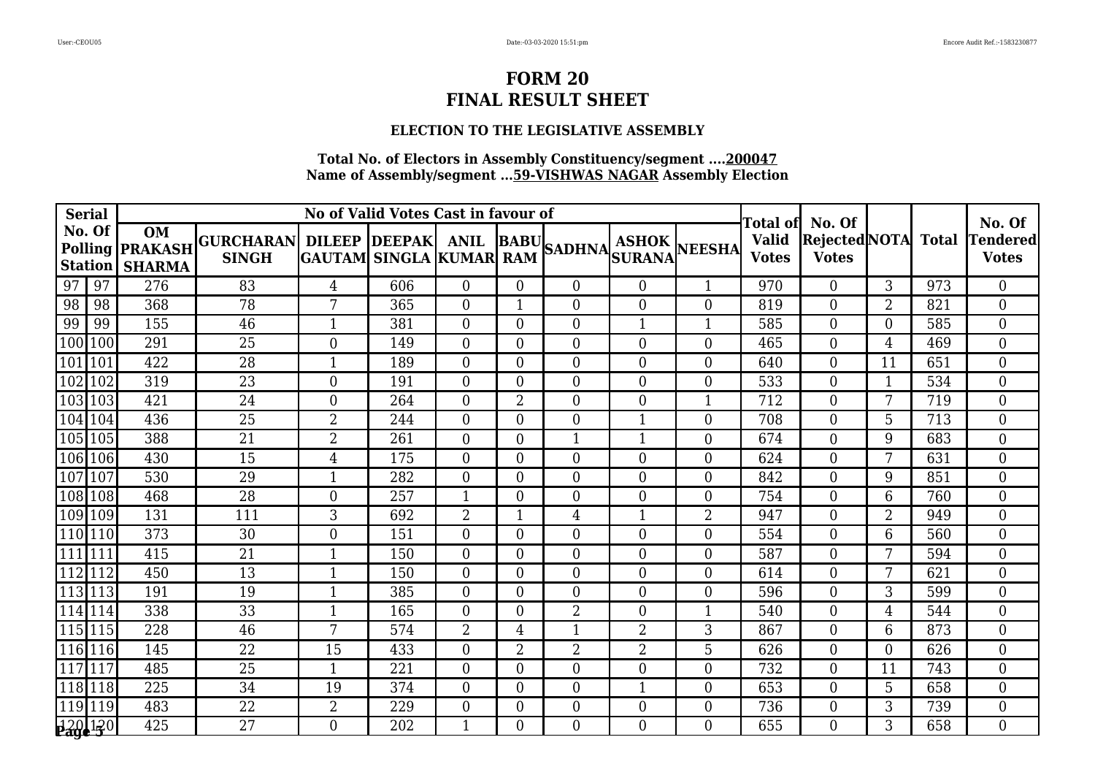### **ELECTION TO THE LEGISLATIVE ASSEMBLY**

|         | <b>Serial</b> |                                                                |                                                       | No of Valid Votes Cast in favour of |     | Total of       | No. Of         |                  |                  | No. Of           |                              |                                      |                |              |                          |
|---------|---------------|----------------------------------------------------------------|-------------------------------------------------------|-------------------------------------|-----|----------------|----------------|------------------|------------------|------------------|------------------------------|--------------------------------------|----------------|--------------|--------------------------|
|         | No. Of        | <b>OM</b><br>Polling <b>PRAKASH</b><br><b>Station   SHARMA</b> | GURCHARAN DILEEP DEEPAK ANIL BABU SADHNA ASHOK NEESHA |                                     |     |                |                |                  |                  |                  | <b>Valid</b><br><b>Votes</b> | <b>Rejected NOTA</b><br><b>Votes</b> |                | <b>Total</b> | Tendered<br><b>Votes</b> |
| 97      | 97            | 276                                                            | 83                                                    | $\overline{4}$                      | 606 | $\overline{0}$ | $\overline{0}$ | $\Omega$         | $\overline{0}$   | $\mathbf{1}$     | 970                          | $\Omega$                             | 3              | 973          | $\overline{0}$           |
| 98      | 98            | 368                                                            | 78                                                    | 7                                   | 365 | $\overline{0}$ | 1              | $\overline{0}$   | $\overline{0}$   | $\overline{0}$   | 819                          | $\overline{0}$                       | $\overline{2}$ | 821          | $\Omega$                 |
| 99      | 99            | 155                                                            | 46                                                    |                                     | 381 | $\overline{0}$ | $\overline{0}$ | $\theta$         | $\mathbf{1}$     | $\mathbf{1}$     | 585                          | $\overline{0}$                       | $\Omega$       | 585          | $\Omega$                 |
| 100     | 100           | 291                                                            | 25                                                    | $\Omega$                            | 149 | $\overline{0}$ | $\overline{0}$ | $\overline{0}$   | $\overline{0}$   | $\theta$         | 465                          | $\Omega$                             | 4              | 469          | $\Omega$                 |
| 101 101 |               | 422                                                            | 28                                                    |                                     | 189 | $\overline{0}$ | $\overline{0}$ | $\theta$         | $\boldsymbol{0}$ | $\overline{0}$   | 640                          | $\Omega$                             | 11             | 651          | $\overline{0}$           |
| 102 102 |               | 319                                                            | 23                                                    | $\overline{0}$                      | 191 | $\overline{0}$ | $\overline{0}$ | $\boldsymbol{0}$ | $\boldsymbol{0}$ | $\boldsymbol{0}$ | 533                          | $\overline{0}$                       | $\mathbf{1}$   | 534          | $\overline{0}$           |
| 103103  |               | 421                                                            | 24                                                    | $\theta$                            | 264 | $\overline{0}$ | $\overline{2}$ | $\overline{0}$   | $\boldsymbol{0}$ | $\mathbf{1}$     | 712                          | $\overline{0}$                       | 7              | 719          | $\overline{0}$           |
| 104 104 |               | 436                                                            | 25                                                    | $\overline{2}$                      | 244 | $\overline{0}$ | $\overline{0}$ | $\overline{0}$   |                  | $\overline{0}$   | 708                          | $\overline{0}$                       | 5              | 713          | $\overline{0}$           |
|         | 105 105       | 388                                                            | $\overline{21}$                                       | $\overline{2}$                      | 261 | $\overline{0}$ | $\overline{0}$ | $\mathbf{1}$     | $\mathbf{1}$     | $\overline{0}$   | 674                          | $\overline{0}$                       | 9              | 683          | $\overline{0}$           |
| 106 106 |               | 430                                                            | 15                                                    | $\overline{4}$                      | 175 | $\overline{0}$ | $\overline{0}$ | $\overline{0}$   | $\overline{0}$   | $\overline{0}$   | 624                          | $\Omega$                             | 7              | 631          | $\overline{0}$           |
| 107 107 |               | 530                                                            | 29                                                    |                                     | 282 | $\overline{0}$ | 0              | $\theta$         | $\boldsymbol{0}$ | $\overline{0}$   | 842                          | $\theta$                             | 9              | 851          | $\Omega$                 |
|         | 108 108       | 468                                                            | 28                                                    | $\overline{0}$                      | 257 | 1              | $\overline{0}$ | $\boldsymbol{0}$ | $\boldsymbol{0}$ | $\boldsymbol{0}$ | 754                          | $\overline{0}$                       | 6              | 760          | $\overline{0}$           |
|         | 109 109       | 131                                                            | 111                                                   | 3                                   | 692 | $\overline{2}$ | $\mathbf{1}$   | 4                | $\mathbf{1}$     | $\overline{2}$   | 947                          | $\theta$                             | $\overline{2}$ | 949          | $\overline{0}$           |
|         | 110 110       | 373                                                            | 30                                                    | $\overline{0}$                      | 151 | $\overline{0}$ | $\overline{0}$ | $\overline{0}$   | $\overline{0}$   | $\overline{0}$   | 554                          | $\theta$                             | 6              | 560          | $\overline{0}$           |
| 111 111 |               | 415                                                            | 21                                                    |                                     | 150 | $\overline{0}$ | $\overline{0}$ | $\overline{0}$   | $\overline{0}$   | $\overline{0}$   | 587                          | $\overline{0}$                       | 7              | 594          | $\overline{0}$           |
| 112 112 |               | 450                                                            | 13                                                    |                                     | 150 | $\overline{0}$ | $\overline{0}$ | $\overline{0}$   | $\overline{0}$   | $\overline{0}$   | 614                          | $\overline{0}$                       | 7              | 621          | $\overline{0}$           |
|         | 113 113       | 191                                                            | 19                                                    | 1                                   | 385 | $\overline{0}$ | $\Omega$       | $\overline{0}$   | $\theta$         | $\overline{0}$   | 596                          | $\theta$                             | 3              | 599          | $\overline{0}$           |
|         | 114 114       | 338                                                            | $\overline{33}$                                       |                                     | 165 | $\overline{0}$ | 0              | $\overline{2}$   | $\overline{0}$   | $\mathbf{1}$     | 540                          | $\theta$                             | 4              | 544          | $\Omega$                 |
|         | 115 115       | 228                                                            | 46                                                    | 7                                   | 574 | $\overline{2}$ | 4              |                  | $\overline{2}$   | 3                | 867                          | $\overline{0}$                       | 6              | 873          | $\overline{0}$           |
|         | 116 116       | 145                                                            | 22                                                    | 15                                  | 433 | $\overline{0}$ | 2              | $\overline{2}$   | $\overline{2}$   | 5                | 626                          | $\Omega$                             | $\Omega$       | 626          | $\overline{0}$           |
| 117     | 117           | 485                                                            | 25                                                    | $\mathbf{1}$                        | 221 | $\overline{0}$ | $\overline{0}$ | $\theta$         | $\overline{0}$   | $\overline{0}$   | 732                          | $\overline{0}$                       | 11             | 743          | $\overline{0}$           |
| 118118  |               | 225                                                            | 34                                                    | 19                                  | 374 | $\overline{0}$ | 0              | $\overline{0}$   | $\mathbf 1$      | $\overline{0}$   | 653                          | $\overline{0}$                       | 5              | 658          | $\overline{0}$           |
|         | 119 119       | 483                                                            | $\overline{22}$                                       | $\overline{2}$                      | 229 | $\overline{0}$ | $\overline{0}$ | $\overline{0}$   | $\boldsymbol{0}$ | $\boldsymbol{0}$ | 736                          | $\overline{0}$                       | 3              | 739          | $\overline{0}$           |
|         | 120120        | 425                                                            | 27                                                    | $\Omega$                            | 202 | 1              | 0              | $\Omega$         | $\Omega$         | $\Omega$         | 655                          | 0                                    | 3              | 658          | $\Omega$                 |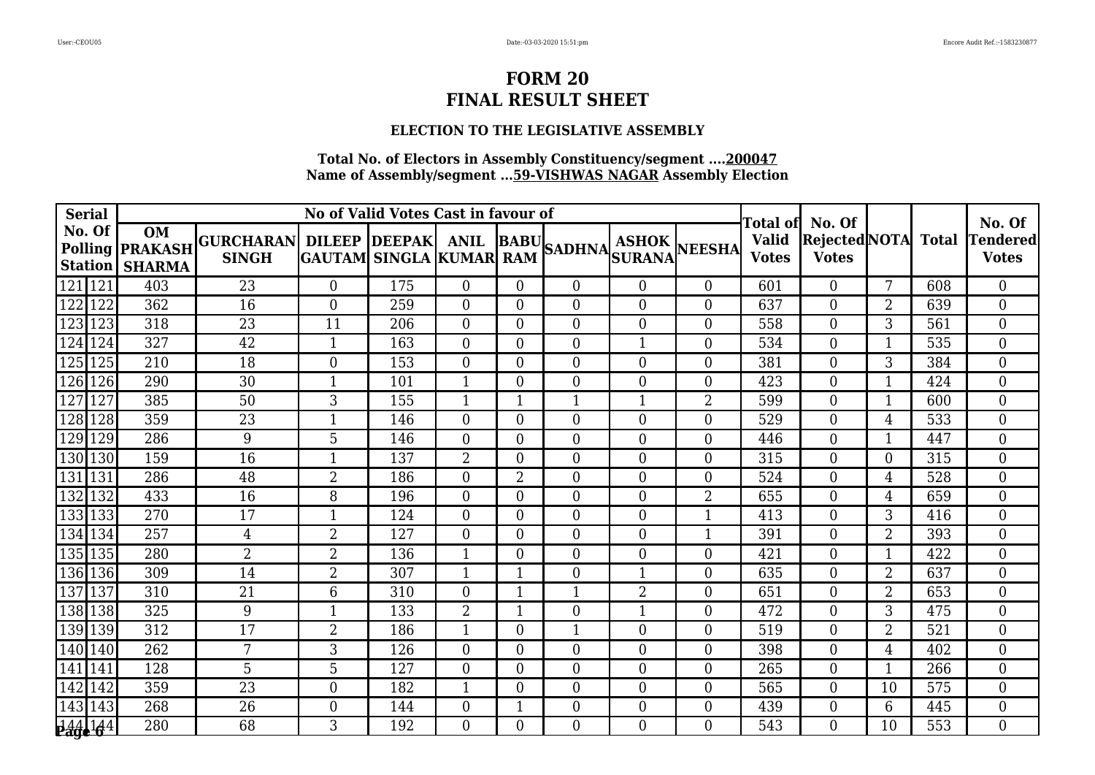#### **ELECTION TO THE LEGISLATIVE ASSEMBLY**

| <b>Serial</b>    |                                                                |                                                       |                | No of Valid Votes Cast in favour of |                  | Total of       | No. Of           |                  |                  | No. Of                       |                                      |                |              |                          |
|------------------|----------------------------------------------------------------|-------------------------------------------------------|----------------|-------------------------------------|------------------|----------------|------------------|------------------|------------------|------------------------------|--------------------------------------|----------------|--------------|--------------------------|
| No. Of           | <b>OM</b><br>Polling <b>PRAKASH</b><br><b>Station   SHARMA</b> | GURCHARAN DILEEP DEEPAK ANIL BABU SADHNA ASHOK NEESHA |                |                                     |                  |                |                  |                  |                  | <b>Valid</b><br><b>Votes</b> | <b>Rejected NOTA</b><br><b>Votes</b> |                | <b>Total</b> | Tendered<br><b>Votes</b> |
| 121 121          | 403                                                            | 23                                                    | $\overline{0}$ | 175                                 | $\overline{0}$   | $\overline{0}$ | $\Omega$         | $\overline{0}$   | $\theta$         | 601                          | $\Omega$                             | 7              | 608          | $\overline{0}$           |
| 122<br>122       | 362                                                            | 16                                                    | $\theta$       | 259                                 | $\overline{0}$   | 0              | $\overline{0}$   | $\overline{0}$   | $\overline{0}$   | 637                          | $\overline{0}$                       | $\overline{2}$ | 639          | $\overline{0}$           |
| 123<br>123       | 318                                                            | 23                                                    | 11             | 206                                 | $\overline{0}$   | $\overline{0}$ | $\theta$         | $\overline{0}$   | $\overline{0}$   | 558                          | $\overline{0}$                       | 3              | 561          | $\overline{0}$           |
| 124 124          | 327                                                            | 42                                                    |                | 163                                 | $\overline{0}$   | $\Omega$       | $\overline{0}$   | $\mathbf{1}$     | $\theta$         | 534                          | $\Omega$                             | $\mathbf{1}$   | 535          | $\Omega$                 |
| 125<br>125       | 210                                                            | 18                                                    | $\overline{0}$ | 153                                 | $\overline{0}$   | 0              | $\theta$         | $\boldsymbol{0}$ | $\overline{0}$   | 381                          | $\Omega$                             | 3              | 384          | $\overline{0}$           |
| 126<br>126       | 290                                                            | 30                                                    |                | 101                                 | $\mathbf{1}$     | $\overline{0}$ | $\overline{0}$   | $\boldsymbol{0}$ | $\boldsymbol{0}$ | 423                          | $\overline{0}$                       | $\mathbf{1}$   | 424          | $\overline{0}$           |
| 127<br>127       | 385                                                            | 50                                                    | 3              | 155                                 | $\mathbf{1}$     | $\mathbf{1}$   | $\mathbf{1}$     | $\mathbf{1}$     | $\overline{2}$   | 599                          | $\Omega$                             | $\mathbf{1}$   | 600          | $\overline{0}$           |
| 128<br>128       | 359                                                            | 23                                                    |                | 146                                 | $\overline{0}$   | $\overline{0}$ | $\overline{0}$   | $\overline{0}$   | $\overline{0}$   | 529                          | $\overline{0}$                       | 4              | 533          | $\overline{0}$           |
| 129<br>129       | 286                                                            | 9                                                     | 5              | 146                                 | $\overline{0}$   | $\overline{0}$ | $\overline{0}$   | $\boldsymbol{0}$ | $\overline{0}$   | 446                          | $\overline{0}$                       | 1              | 447          | $\overline{0}$           |
| 130 130          | 159                                                            | 16                                                    | 1              | 137                                 | $\overline{2}$   | $\overline{0}$ | $\overline{0}$   | $\overline{0}$   | $\theta$         | 315                          | $\Omega$                             | $\overline{0}$ | 315          | $\overline{0}$           |
| 131 131          | 286                                                            | 48                                                    | $\overline{2}$ | 186                                 | $\overline{0}$   | 2              | $\overline{0}$   | $\boldsymbol{0}$ | $\overline{0}$   | 524                          | $\theta$                             | 4              | 528          | $\overline{0}$           |
| 132<br>132       | 433                                                            | 16                                                    | 8              | 196                                 | $\boldsymbol{0}$ | $\overline{0}$ | $\boldsymbol{0}$ | $\boldsymbol{0}$ | $\overline{2}$   | 655                          | $\overline{0}$                       | 4              | 659          | $\overline{0}$           |
| 133 133          | 270                                                            | 17                                                    | $\mathbf{1}$   | 124                                 | $\Omega$         | $\Omega$       | $\theta$         | $\theta$         | 1                | 413                          | $\theta$                             | 3              | 416          | $\overline{0}$           |
| 134 134          | 257                                                            | $\overline{4}$                                        | $\overline{2}$ | 127                                 | $\overline{0}$   | $\Omega$       | $\overline{0}$   | $\overline{0}$   | $\mathbf{1}$     | 391                          | $\theta$                             | 2              | 393          | $\overline{0}$           |
| 135 135          | 280                                                            | $\overline{2}$                                        | $\overline{2}$ | 136                                 | 1                | $\overline{0}$ | $\overline{0}$   | $\overline{0}$   | $\overline{0}$   | 421                          | $\overline{0}$                       |                | 422          | $\overline{0}$           |
| 136 136          | 309                                                            | 14                                                    | $\overline{2}$ | 307                                 | 1                | 1              | $\overline{0}$   | $\mathbf{1}$     | $\overline{0}$   | 635                          | $\overline{0}$                       | $\overline{2}$ | 637          | $\overline{0}$           |
| 137<br>137       | 310                                                            | 21                                                    | 6              | 310                                 | $\overline{0}$   | 1              | 1                | $\overline{2}$   | $\overline{0}$   | 651                          | $\theta$                             | $\overline{2}$ | 653          | $\overline{0}$           |
| 138 138          | 325                                                            | 9                                                     |                | 133                                 | $\overline{2}$   | 1              | $\theta$         | $\mathbf{1}$     | $\theta$         | 472                          | $\theta$                             | 3              | 475          | $\Omega$                 |
| 139 139          | 312                                                            | 17                                                    | $\overline{2}$ | 186                                 | $\mathbf{1}$     | $\overline{0}$ |                  | $\boldsymbol{0}$ | $\overline{0}$   | 519                          | $\overline{0}$                       | 2              | 521          | $\overline{0}$           |
| $\sqrt{140}$ 140 | 262                                                            | 7                                                     | 3              | 126                                 | $\overline{0}$   | $\theta$       | $\overline{0}$   | $\boldsymbol{0}$ | $\boldsymbol{0}$ | 398                          | $\Omega$                             | 4              | 402          | $\overline{0}$           |
| 141<br>141       | 128                                                            | 5                                                     | 5              | 127                                 | $\overline{0}$   | $\overline{0}$ | $\theta$         | $\overline{0}$   | $\overline{0}$   | 265                          | $\Omega$                             | $\mathbf{1}$   | 266          | $\overline{0}$           |
| 142<br>142       | 359                                                            | 23                                                    | $\overline{0}$ | 182                                 | 1                | $\overline{0}$ | $\overline{0}$   | $\boldsymbol{0}$ | $\overline{0}$   | 565                          | $\overline{0}$                       | 10             | 575          | $\overline{0}$           |
| 143 143          | 268                                                            | 26                                                    | $\overline{0}$ | 144                                 | $\overline{0}$   | 1              | $\overline{0}$   | $\boldsymbol{0}$ | $\boldsymbol{0}$ | 439                          | $\overline{0}$                       | 6              | 445          | $\overline{0}$           |
| <b>144,144</b>   | 280                                                            | 68                                                    | 3              | 192                                 | $\Omega$         | $\Omega$       | $\Omega$         | $\Omega$         | $\Omega$         | 543                          | 0                                    | 10             | 553          | $\Omega$                 |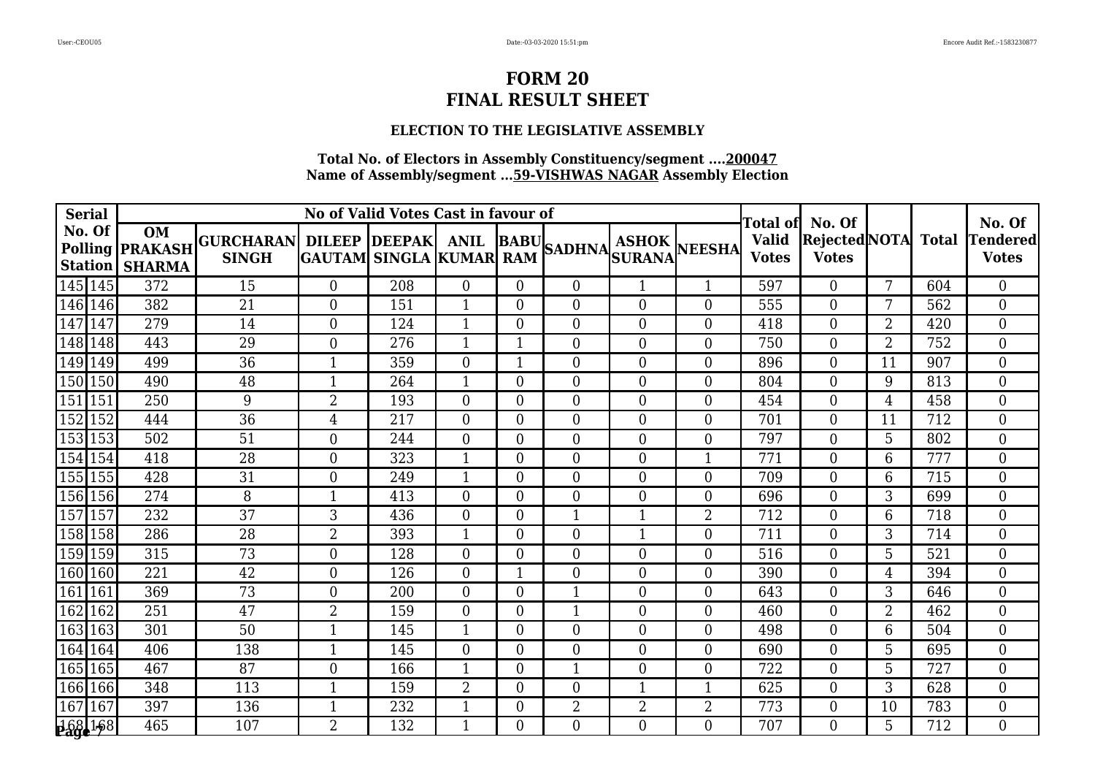### **ELECTION TO THE LEGISLATIVE ASSEMBLY**

| <b>Serial</b>  |                                                                |                                                       |                | No of Valid Votes Cast in favour of |                  | Total of       | No. Of           |                  |                  | No. Of                       |                                      |                |              |                          |
|----------------|----------------------------------------------------------------|-------------------------------------------------------|----------------|-------------------------------------|------------------|----------------|------------------|------------------|------------------|------------------------------|--------------------------------------|----------------|--------------|--------------------------|
| No. Of         | <b>OM</b><br>Polling <b>PRAKASH</b><br><b>Station   SHARMA</b> | GURCHARAN DILEEP DEEPAK ANIL BABU SADHNA ASHOK NEESHA |                |                                     |                  |                |                  |                  |                  | <b>Valid</b><br><b>Votes</b> | <b>Rejected NOTA</b><br><b>Votes</b> |                | <b>Total</b> | Tendered<br><b>Votes</b> |
| 145 145        | 372                                                            | 15                                                    | $\overline{0}$ | 208                                 | $\overline{0}$   | $\overline{0}$ | $\Omega$         | $\mathbf{1}$     | $\mathbf{1}$     | 597                          | $\Omega$                             | 7              | 604          | $\overline{0}$           |
| 146 146        | 382                                                            | 21                                                    | $\theta$       | 151                                 | 1                | $\overline{0}$ | $\overline{0}$   | $\overline{0}$   | $\overline{0}$   | 555                          | $\overline{0}$                       | 7              | 562          | $\Omega$                 |
| 147<br>147     | 279                                                            | 14                                                    | $\Omega$       | 124                                 | 1                | $\theta$       | $\theta$         | $\overline{0}$   | $\overline{0}$   | 418                          | $\overline{0}$                       | $\overline{2}$ | 420          | $\Omega$                 |
| 148 148        | 443                                                            | 29                                                    | $\Omega$       | 276                                 | $\mathbf{1}$     | 1              | $\overline{0}$   | $\overline{0}$   | $\theta$         | 750                          | $\Omega$                             | $\overline{2}$ | 752          | $\overline{0}$           |
| 149 149        | 499                                                            | 36                                                    |                | 359                                 | $\theta$         | 1              | $\theta$         | $\boldsymbol{0}$ | $\overline{0}$   | 896                          | $\Omega$                             | 11             | 907          | $\overline{0}$           |
| 150 150        | 490                                                            | 48                                                    |                | 264                                 | $\mathbf{1}$     | $\overline{0}$ | $\boldsymbol{0}$ | $\boldsymbol{0}$ | $\boldsymbol{0}$ | 804                          | $\overline{0}$                       | 9              | 813          | $\overline{0}$           |
| 151 151        | 250                                                            | 9                                                     | $\overline{2}$ | 193                                 | $\overline{0}$   | $\overline{0}$ | $\overline{0}$   | $\boldsymbol{0}$ | $\overline{0}$   | 454                          | $\Omega$                             | $\overline{4}$ | 458          | $\overline{0}$           |
| 152<br>152     | 444                                                            | 36                                                    | $\overline{4}$ | 217                                 | $\overline{0}$   | $\overline{0}$ | $\overline{0}$   | $\overline{0}$   | $\overline{0}$   | 701                          | $\overline{0}$                       | 11             | 712          | $\overline{0}$           |
| 153 153        | 502                                                            | $\overline{51}$                                       | $\overline{0}$ | 244                                 | $\overline{0}$   | $\overline{0}$ | $\overline{0}$   | $\boldsymbol{0}$ | $\overline{0}$   | 797                          | $\overline{0}$                       | 5              | 802          | $\overline{0}$           |
| 154 154        | 418                                                            | 28                                                    | $\Omega$       | 323                                 | $\mathbf{1}$     | $\overline{0}$ | $\overline{0}$   | $\overline{0}$   | $\mathbf{1}$     | 771                          | $\Omega$                             | 6              | 777          | $\overline{0}$           |
| 155 155        | 428                                                            | 31                                                    | $\overline{0}$ | 249                                 | 1                | $\overline{0}$ | $\theta$         | $\boldsymbol{0}$ | $\overline{0}$   | 709                          | $\theta$                             | 6              | 715          | $\overline{0}$           |
| 156 156        | 274                                                            | 8                                                     |                | 413                                 | $\boldsymbol{0}$ | $\overline{0}$ | $\boldsymbol{0}$ | $\boldsymbol{0}$ | $\boldsymbol{0}$ | 696                          | $\overline{0}$                       | 3              | 699          | $\overline{0}$           |
| 157 157        | 232                                                            | 37                                                    | 3              | 436                                 | $\Omega$         | $\Omega$       | $\mathbf 1$      | $\mathbf{1}$     | $\overline{2}$   | 712                          | $\theta$                             | 6              | 718          | $\overline{0}$           |
| 158 158        | 286                                                            | 28                                                    | $\overline{2}$ | 393                                 | 1                | $\Omega$       | $\overline{0}$   | $\mathbf{1}$     | $\overline{0}$   | 711                          | $\theta$                             | 3              | 714          | $\overline{0}$           |
| 159 159        | 315                                                            | 73                                                    | $\overline{0}$ | 128                                 | $\overline{0}$   | $\overline{0}$ | $\overline{0}$   | $\overline{0}$   | $\overline{0}$   | 516                          | $\overline{0}$                       | 5              | 521          | $\overline{0}$           |
| 160 160        | 221                                                            | 42                                                    | $\theta$       | 126                                 | $\overline{0}$   | 1              | $\overline{0}$   | $\boldsymbol{0}$ | $\overline{0}$   | 390                          | $\Omega$                             | 4              | 394          | $\overline{0}$           |
| 161<br>161     | 369                                                            | 73                                                    | $\Omega$       | 200                                 | $\Omega$         | $\Omega$       | 1                | $\theta$         | $\overline{0}$   | 643                          | $\theta$                             | 3              | 646          | $\overline{0}$           |
| 162<br>162     | 251                                                            | $\overline{47}$                                       | $\overline{2}$ | 159                                 | $\overline{0}$   | $\overline{0}$ | $\mathbf 1$      | $\overline{0}$   | $\theta$         | 460                          | $\theta$                             | $\overline{2}$ | 462          | $\Omega$                 |
| 163 163        | 301                                                            | 50                                                    |                | 145                                 | $\mathbf{1}$     | $\overline{0}$ | $\overline{0}$   | $\boldsymbol{0}$ | $\overline{0}$   | 498                          | $\overline{0}$                       | 6              | 504          | $\overline{0}$           |
| 164 164        | 406                                                            | 138                                                   |                | 145                                 | $\overline{0}$   | $\overline{0}$ | $\overline{0}$   | $\boldsymbol{0}$ | $\boldsymbol{0}$ | 690                          | $\Omega$                             | 5              | 695          | $\overline{0}$           |
| 165 165        | 467                                                            | 87                                                    | $\theta$       | 166                                 | $\mathbf{1}$     | $\overline{0}$ | $\mathbf{1}$     | $\overline{0}$   | $\overline{0}$   | 722                          | $\Omega$                             | 5              | 727          | $\overline{0}$           |
| 166 166        | 348                                                            | 113                                                   |                | 159                                 | $\overline{2}$   | $\overline{0}$ | $\overline{0}$   | $\mathbf 1$      | $\mathbf 1$      | 625                          | $\overline{0}$                       | 3              | 628          | $\overline{0}$           |
| 167<br>167     | 397                                                            | 136                                                   |                | 232                                 | $\mathbf{1}$     | $\overline{0}$ | $\overline{2}$   | $\overline{2}$   | $\overline{2}$   | 773                          | $\overline{0}$                       | 10             | 783          | $\overline{0}$           |
| <b>168 168</b> | 465                                                            | 107                                                   | $\overline{2}$ | 132                                 | 1                | 0              | $\Omega$         | $\Omega$         | $\theta$         | 707                          | $\Omega$                             | 5              | 712          | $\Omega$                 |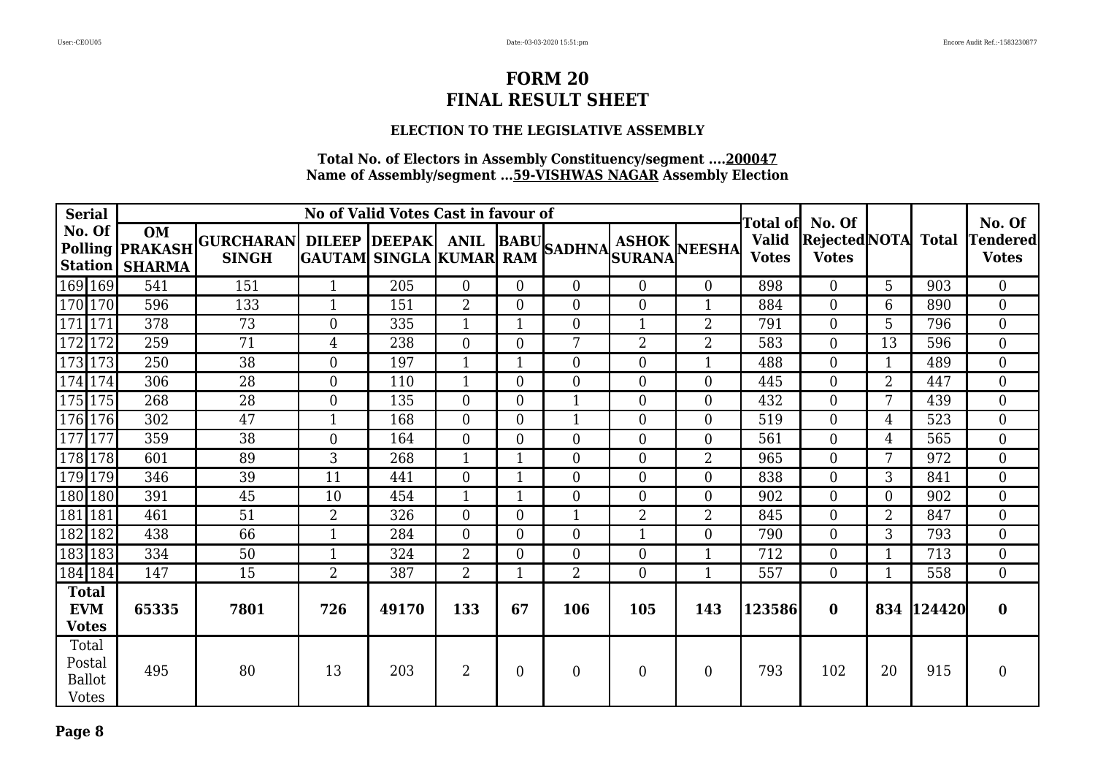### **ELECTION TO THE LEGISLATIVE ASSEMBLY**

| <b>Serial</b>                                    |                                                         |                                                       |                  | No of Valid Votes Cast in favour of |                |                  | Total of No. Of  |                  |                  | No. Of                       |                                     |                |        |                                 |
|--------------------------------------------------|---------------------------------------------------------|-------------------------------------------------------|------------------|-------------------------------------|----------------|------------------|------------------|------------------|------------------|------------------------------|-------------------------------------|----------------|--------|---------------------------------|
| No. Of                                           | OM<br><b>Polling PRAKASH</b><br><b>Station   SHARMA</b> | GURCHARAN DILEEP DEEPAK ANIL BABU SADHNA ASHOK NEESHA |                  |                                     |                |                  |                  |                  |                  | <b>Valid</b><br><b>Votes</b> | Rejected NOTA Total<br><b>Votes</b> |                |        | <b>Tendered</b><br><b>Votes</b> |
| 169 169                                          | 541                                                     | 151                                                   | $\mathbf{1}$     | 205                                 | $\overline{0}$ | $\Omega$         | $\overline{0}$   | $\theta$         | $\Omega$         | 898                          | $\overline{0}$                      | 5              | 903    | $\overline{0}$                  |
| 170 170                                          | 596                                                     | 133                                                   |                  | 151                                 | 2              | $\overline{0}$   | $\mathbf{0}$     | $\mathbf{0}$     |                  | 884                          | $\overline{0}$                      | 6              | 890    | $\overline{0}$                  |
| 171 171                                          | 378                                                     | 73                                                    | $\overline{0}$   | 335                                 | 1              |                  | $\overline{0}$   | $\mathbf{1}$     | $\overline{2}$   | 791                          | $\overline{0}$                      | 5              | 796    | $\overline{0}$                  |
| 172 172                                          | 259                                                     | 71                                                    | 4                | 238                                 | $\overline{0}$ | $\overline{0}$   | 7                | $\overline{2}$   | $\overline{2}$   | 583                          | $\overline{0}$                      | 13             | 596    | $\overline{0}$                  |
| 173 173                                          | 250                                                     | 38                                                    | $\overline{0}$   | 197                                 | $\mathbf{1}$   |                  | $\boldsymbol{0}$ | $\mathbf{0}$     | $\mathbf{1}$     | 488                          | $\overline{0}$                      | $\mathbf{1}$   | 489    | $\overline{0}$                  |
| 174 174                                          | 306                                                     | 28                                                    | $\Omega$         | 110                                 | $\mathbf{1}$   | $\overline{0}$   | $\overline{0}$   | $\theta$         | $\theta$         | 445                          | $\Omega$                            | $\overline{2}$ | 447    | $\overline{0}$                  |
| $\overline{175 175}$                             | 268                                                     | 28                                                    | $\boldsymbol{0}$ | 135                                 | $\overline{0}$ | $\theta$         | $\mathbf 1$      | $\boldsymbol{0}$ | $\boldsymbol{0}$ | 432                          | $\overline{0}$                      | 7              | 439    | $\overline{0}$                  |
| 176 176                                          | 302                                                     | 47                                                    | $\mathbf{1}$     | 168                                 | $\overline{0}$ | $\overline{0}$   | $\mathbf{1}$     | $\mathbf{0}$     | $\boldsymbol{0}$ | 519                          | $\Omega$                            | 4              | 523    | $\overline{0}$                  |
| 177 177                                          | 359                                                     | 38                                                    | $\overline{0}$   | 164                                 | $\Omega$       | $\overline{0}$   | $\overline{0}$   | $\mathbf{0}$     | $\overline{0}$   | 561                          | $\overline{0}$                      | 4              | 565    | $\overline{0}$                  |
| 178 178                                          | 601                                                     | 89                                                    | 3                | 268                                 | $\mathbf{1}$   |                  | $\boldsymbol{0}$ | $\mathbf{0}$     | $\overline{2}$   | 965                          | $\overline{0}$                      | 7              | 972    | $\overline{0}$                  |
| 179 179                                          | 346                                                     | 39                                                    | 11               | 441                                 | $\overline{0}$ |                  | $\overline{0}$   | $\theta$         | $\overline{0}$   | 838                          | $\overline{0}$                      | 3              | 841    | $\overline{0}$                  |
| 180 180                                          | 391                                                     | 45                                                    | 10               | 454                                 | $\mathbf{1}$   |                  | $\overline{0}$   | $\theta$         | $\overline{0}$   | 902                          | $\overline{0}$                      | $\overline{0}$ | 902    | $\overline{0}$                  |
| 181 181                                          | 461                                                     | 51                                                    | $\overline{2}$   | 326                                 | $\Omega$       | $\overline{0}$   | $\mathbf{1}$     | $\overline{2}$   | $\overline{2}$   | 845                          | $\Omega$                            | $\overline{2}$ | 847    | $\overline{0}$                  |
| 182 182                                          | 438                                                     | 66                                                    |                  | 284                                 | $\Omega$       | $\overline{0}$   | $\boldsymbol{0}$ | $\mathbf{1}$     | $\boldsymbol{0}$ | 790                          | $\Omega$                            | 3              | 793    | $\overline{0}$                  |
| 183 183                                          | 334                                                     | 50                                                    |                  | 324                                 | $\overline{2}$ | $\boldsymbol{0}$ | $\boldsymbol{0}$ | $\boldsymbol{0}$ | $\mathbf{1}$     | 712                          | $\overline{0}$                      |                | 713    | $\overline{0}$                  |
| $\boxed{184}$ 184                                | 147                                                     | 15                                                    | $\overline{2}$   | 387                                 | $\overline{2}$ | $\mathbf{1}$     | $\overline{2}$   | $\theta$         | $\mathbf{1}$     | 557                          | $\Omega$                            | 1              | 558    | $\overline{0}$                  |
| <b>Total</b><br><b>EVM</b><br><b>Votes</b>       | 65335                                                   | 7801                                                  | 726              | 49170                               | 133            | 67               | 106              | 105              | 143              | 123586                       | $\mathbf{0}$                        | 834            | 124420 | $\bf{0}$                        |
| Total<br>Postal<br><b>Ballot</b><br><b>Votes</b> | 495                                                     | 80                                                    | 13               | 203                                 | $\overline{2}$ | $\overline{0}$   | $\overline{0}$   | $\overline{0}$   | $\overline{0}$   | 793                          | 102                                 | 20             | 915    | $\overline{0}$                  |